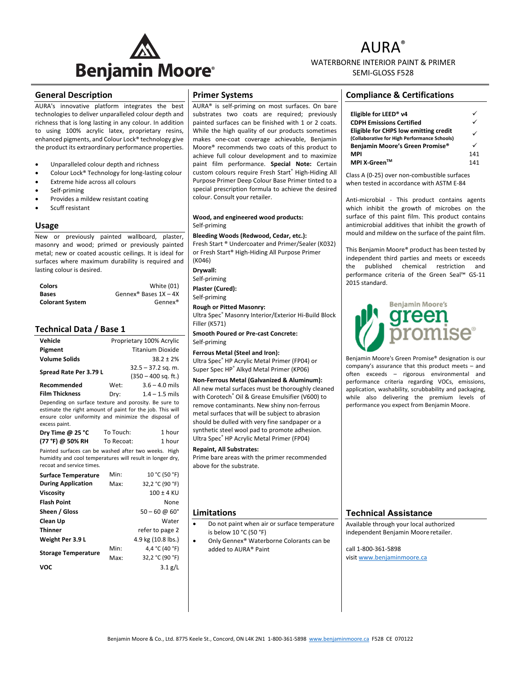

# AURA® WATERBORNE INTERIOR PAINT & PRIMER SEMI‐GLOSS F528

### **General Description**

AURA's innovative platform integrates the best technologies to deliver unparalleled colour depth and richness that is long lasting in any colour. In addition to using 100% acrylic latex, proprietary resins, enhanced pigments, and Colour Lock® technology give the product its extraordinary performance properties.

- Unparalleled colour depth and richness
- Colour Lock® Technology for long‐lasting colour
- Extreme hide across all colours
- Self‐priming
- Provides a mildew resistant coating
- Scuff resistant

#### **Usage**

New or previously painted wallboard, plaster, masonry and wood; primed or previously painted metal; new or coated acoustic ceilings. It is ideal for surfaces where maximum durability is required and lasting colour is desired.

| <b>Colors</b>          | <b>White (01)</b>                   |
|------------------------|-------------------------------------|
| <b>Bases</b>           | Gennex <sup>®</sup> Bases $1X - 4X$ |
| <b>Colorant System</b> | Gennex <sup>®</sup>                 |

#### **Technical Data / Base 1**

| Vehicle                                                                                                                                                                    | Proprietary 100% Acrylic |                       |  |  |
|----------------------------------------------------------------------------------------------------------------------------------------------------------------------------|--------------------------|-----------------------|--|--|
| Pigment                                                                                                                                                                    |                          | Titanium Dioxide      |  |  |
| <b>Volume Solids</b>                                                                                                                                                       |                          | $38.2 + 2%$           |  |  |
| Spread Rate Per 3.79 L                                                                                                                                                     |                          | $32.5 - 37.2$ sq. m.  |  |  |
|                                                                                                                                                                            |                          | $(350 - 400$ sq. ft.) |  |  |
| Recommended                                                                                                                                                                | Wet:                     | $3.6 - 4.0$ mils      |  |  |
| <b>Film Thickness</b>                                                                                                                                                      | Dry:                     | $1.4 - 1.5$ mils      |  |  |
| Depending on surface texture and porosity. Be sure to<br>estimate the right amount of paint for the job. This will<br>ensure color uniformity and minimize the disposal of |                          |                       |  |  |
| excess paint.                                                                                                                                                              |                          |                       |  |  |

| Dry Time $@$ 25 °C | To Touch:  | 1 hour |
|--------------------|------------|--------|
| (77 °F) @ 50% RH   | To Recoat: | 1 hour |

Painted surfaces can be washed after two weeks. High humidity and cool temperatures will result in longer dry, recoat and service times.

| <b>Surface Temperature</b> | Min: | 10 °C (50 °F)               |
|----------------------------|------|-----------------------------|
| <b>During Application</b>  | Max: | 32,2 °C (90 °F)             |
| <b>Viscosity</b>           |      | $100 \pm 4$ KU              |
| <b>Flash Point</b>         |      | None                        |
| Sheen / Gloss              |      | $50 - 60 \omega 60^{\circ}$ |
| Clean Up                   |      | Water                       |
| <b>Thinner</b>             |      | refer to page 2             |
| Weight Per 3.9 L           |      | 4.9 kg (10.8 lbs.)          |
| <b>Storage Temperature</b> | Min: | 4,4 °C (40 °F)              |
|                            | Max: | 32,2 °C (90 °F)             |
| voc                        |      | $3.1$ g/L                   |
|                            |      |                             |

#### **Primer Systems**

AURA® is self‐priming on most surfaces. On bare substrates two coats are required; previously painted surfaces can be finished with 1 or 2 coats. While the high quality of our products sometimes makes one‐coat coverage achievable, Benjamin Moore® recommends two coats of this product to achieve full colour development and to maximize paint film performance. **Special Note:** Certain custom colours require Fresh Start® High-Hiding All Purpose Primer Deep Colour Base Primer tinted to a special prescription formula to achieve the desired colour. Consult your retailer.

#### **Wood, and engineered wood products:** Self‐priming

**Bleeding Woods (Redwood, Cedar, etc.):**  Fresh Start ® Undercoater and Primer/Sealer (K032) or Fresh Start® High‐Hiding All Purpose Primer  $(K046)$ 

**Drywall:**

Self‐priming

**Plaster (Cured):** Self‐priming

**Rough or Pitted Masonry:**

Ultra Spec® Masonry Interior/Exterior Hi‐Build Block Filler (K571)

**Smooth Poured or Pre‐cast Concrete:** Self‐priming

**Ferrous Metal (Steel and Iron):** Ultra Spec® HP Acrylic Metal Primer (FP04) or Super Spec HP® Alkyd Metal Primer (KP06)

**Non‐Ferrous Metal (Galvanized & Aluminum):**

All new metal surfaces must be thoroughly cleaned with Corotech® Oil & Grease Emulsifier (V600) to remove contaminants. New shiny non‐ferrous metal surfaces that will be subject to abrasion should be dulled with very fine sandpaper or a synthetic steel wool pad to promote adhesion. Ultra Spec® HP Acrylic Metal Primer (FP04)

#### **Repaint, All Substrates:**

Prime bare areas with the primer recommended above for the substrate.

#### **Limitations**

- Do not paint when air or surface temperature is below 10 °C (50 °F)
- Only Gennex® Waterborne Colorants can be added to AURA® Paint

## **Compliance & Certifications**

| Eligible for LEED <sup>®</sup> v4                                                     |     |
|---------------------------------------------------------------------------------------|-----|
| <b>CDPH Emissions Certified</b>                                                       |     |
| Eligible for CHPS low emitting credit<br>(Collaborative for High Performance Schools) |     |
| Benjamin Moore's Green Promise®                                                       |     |
| <b>MPI</b>                                                                            | 141 |
| MPI X-Green™                                                                          | 141 |

Class A (0‐25) over non‐combustible surfaces when tested in accordance with ASTM F-84

Anti-microbial - This product contains agents which inhibit the growth of microbes on the surface of this paint film. This product contains antimicrobial additives that inhibit the growth of mould and mildew on the surface of the paint film.

This Benjamin Moore® product has been tested by independent third parties and meets or exceeds the published chemical restriction and performance criteria of the Green Seal™ GS‐11 2015 standard.



Benjamin Moore's Green Promise® designation is our company's assurance that this product meets – and often exceeds – rigorous environmental and performance criteria regarding VOCs, emissions, application, washability, scrubbability and packaging, while also delivering the premium levels of performance you expect from Benjamin Moore.

## **Technical Assistance**

Available through your local authorized independent Benjamin Moore retailer.

call 1‐800‐361‐5898 visit www.benjaminmoore.ca